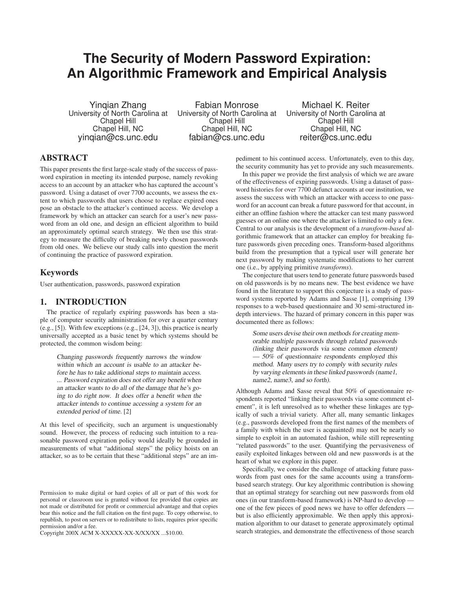# **The Security of Modern Password Expiration: An Algorithmic Framework and Empirical Analysis**

Yinqian Zhang University of North Carolina at Chapel Hill Chapel Hill, NC yinqian@cs.unc.edu

Fabian Monrose University of North Carolina at Chapel Hill Chapel Hill, NC fabian@cs.unc.edu

Michael K. Reiter University of North Carolina at Chapel Hill Chapel Hill, NC reiter@cs.unc.edu

# **ABSTRACT**

This paper presents the first large-scale study of the success of password expiration in meeting its intended purpose, namely revoking access to an account by an attacker who has captured the account's password. Using a dataset of over 7700 accounts, we assess the extent to which passwords that users choose to replace expired ones pose an obstacle to the attacker's continued access. We develop a framework by which an attacker can search for a user's new password from an old one, and design an efficient algorithm to build an approximately optimal search strategy. We then use this strategy to measure the difficulty of breaking newly chosen passwords from old ones. We believe our study calls into question the merit of continuing the practice of password expiration.

## **Keywords**

User authentication, passwords, password expiration

## **1. INTRODUCTION**

The practice of regularly expiring passwords has been a staple of computer security administration for over a quarter century (e.g., [5]). With few exceptions (e.g., [24, 3]), this practice is nearly universally accepted as a basic tenet by which systems should be protected, the common wisdom being:

Changing passwords frequently narrows the window within which an account is usable to an attacker before he has to take additional steps to maintain access. ... Password expiration does not offer any benefit when an attacker wants to do all of the damage that he's going to do right now. It does offer <sup>a</sup> benefit when the attacker intends to continue accessing <sup>a</sup> system for an extended period of time. [2]

At this level of specificity, such an argument is unquestionably sound. However, the process of reducing such intuition to a reasonable password expiration policy would ideally be grounded in measurements of what "additional steps" the policy hoists on an attacker, so as to be certain that these "additional steps" are an im-

Copyright 200X ACM X-XXXXX-XX-X/XX/XX ...\$10.00.

pediment to his continued access. Unfortunately, even to this day, the security community has yet to provide any such measurements.

In this paper we provide the first analysis of which we are aware of the effectiveness of expiring passwords. Using a dataset of password histories for over 7700 defunct accounts at our institution, we assess the success with which an attacker with access to one password for an account can break a future password for that account, in either an offline fashion where the attacker can test many password guesses or an online one where the attacker is limited to only a few. Central to our analysis is the development of a *transform-based* algorithmic framework that an attacker can employ for breaking future passwords given preceding ones. Transform-based algorithms build from the presumption that a typical user will generate her next password by making systematic modifications to her current one (i.e., by applying primitive *transforms*).

The conjecture that users tend to generate future passwords based on old passwords is by no means new. The best evidence we have found in the literature to support this conjecture is a study of password systems reported by Adams and Sasse [1], comprising 139 responses to a web-based questionnaire and 30 semi-structured indepth interviews. The hazard of primary concern in this paper was documented there as follows:

Some users devise their own methods for creating memorable multiple passwords through related passwords (linking their passwords via some common element) — 50% of questionnaire respondents employed this method. Many users try to comply with security rules by varying elements in these linked passwords (name1, name2, name3, and so forth).

Although Adams and Sasse reveal that 50% of questionnaire respondents reported "linking their passwords via some comment element", it is left unresolved as to whether these linkages are typically of such a trivial variety. After all, many semantic linkages (e.g., passwords developed from the first names of the members of a family with which the user is acquainted) may not be nearly so simple to exploit in an automated fashion, while still representing "related passwords" to the user. Quantifying the pervasiveness of easily exploited linkages between old and new passwords is at the heart of what we explore in this paper.

Specifically, we consider the challenge of attacking future passwords from past ones for the same accounts using a transformbased search strategy. Our key algorithmic contribution is showing that an optimal strategy for searching out new passwords from old ones (in our transform-based framework) is NP-hard to develop one of the few pieces of good news we have to offer defenders but is also efficiently approximable. We then apply this approximation algorithm to our dataset to generate approximately optimal search strategies, and demonstrate the effectiveness of those search

Permission to make digital or hard copies of all or part of this work for personal or classroom use is granted without fee provided that copies are not made or distributed for profit or commercial advantage and that copies bear this notice and the full citation on the first page. To copy otherwise, to republish, to post on servers or to redistribute to lists, requires prior specific permission and/or a fee.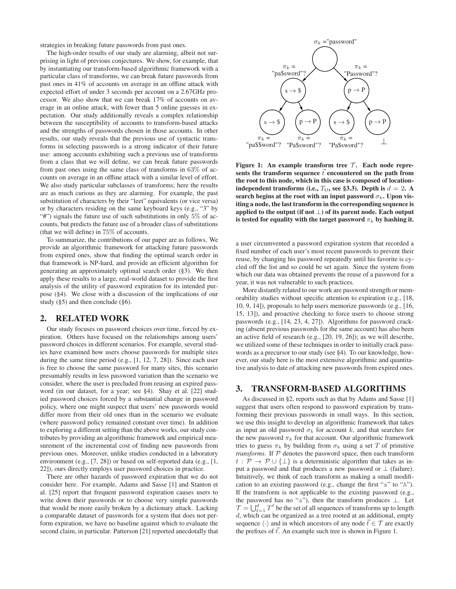strategies in breaking future passwords from past ones.

The high-order results of our study are alarming, albeit not surprising in light of previous conjectures. We show, for example, that by instantiating our transform-based algorithmic framework with a particular class of transforms, we can break future passwords from past ones in 41% of accounts on average in an offline attack with expected effort of under 3 seconds per account on a 2.67GHz processor. We also show that we can break 17% of accounts on average in an online attack, with fewer than 5 online guesses in expectation. Our study additionally reveals a complex relationship between the susceptibility of accounts to transform-based attacks and the strengths of passwords chosen in those accounts. In other results, our study reveals that the previous use of syntactic transforms in selecting passwords is a strong indicator of their future use: among accounts exhibiting such a previous use of transforms from a class that we will define, we can break future passwords from past ones using the same class of transforms in 63% of accounts on average in an offline attack with a similar level of effort. We also study particular subclasses of transforms; here the results are as much curious as they are alarming. For example, the past substitution of characters by their "leet" equivalents (or vice versa) or by characters residing on the same keyboard keys (e.g., "3" by "#") signals the future use of such substitutions in only  $5\%$  of accounts, but predicts the future use of a broader class of substitutions (that we will define) in 75% of accounts.

To summarize, the contributions of our paper are as follows. We provide an algorithmic framework for attacking future passwords from expired ones, show that finding the optimal search order in that framework is NP-hard, and provide an efficient algorithm for generating an approximately optimal search order (§3). We then apply these results to a large, real-world dataset to provide the first analysis of the utility of password expiration for its intended purpose (§4). We close with a discussion of the implications of our study (§5) and then conclude (§6).

### **2. RELATED WORK**

Our study focuses on password choices over time, forced by expiration. Others have focused on the relationships among users' password choices in different scenarios. For example, several studies have examined how users choose passwords for multiple sites during the same time period (e.g., [1, 12, 7, 28]). Since each user is free to choose the same password for many sites, this scenario presumably results in less password variation than the scenario we consider, where the user is precluded from reusing an expired password (in our dataset, for a year; see §4). Shay et al. [22] studied password choices forced by a substantial change in password policy, where one might suspect that users' new passwords would differ more from their old ones than in the scenario we evaluate (where password policy remained constant over time). In addition to exploring a different setting than the above works, our study contributes by providing an algorithmic framework and empirical measurement of the incremental cost of finding new passwords from previous ones. Moreover, unlike studies conducted in a laboratory environment (e.g., [7, 28]) or based on self-reported data (e.g., [1, 22]), ours directly employs user password choices in practice.

There are other hazards of password expiration that we do not consider here. For example, Adams and Sasse [1] and Stanton et al. [25] report that frequent password expiration causes users to write down their passwords or to choose very simple passwords that would be more easily broken by a dictionary attack. Lacking a comparable dataset of passwords for a system that does not perform expiration, we have no baseline against which to evaluate the second claim, in particular. Patterson [21] reported anecdotally that



Figure 1: An example transform tree  $\mathcal{T}$ . Each node represents the transform sequence  $\vec{t}$  encountered on the path from **the root to this node, which in this case is composed of locationindependent transforms (i.e.,**  $T_{L1}$ **, see §3.3). Depth is**  $d = 2$ **.** A search begins at the root with an input password  $\sigma_k$ . Upon vis**iting a node, the last transform in the corresponding sequence is applied to the output (if not** ⊥**) of its parent node. Each output is tested for equality with the target password**  $\pi_k$  **by hashing it.** 

a user circumvented a password expiration system that recorded a fixed number of each user's most recent passwords to prevent their reuse, by changing his password repeatedly until his favorite is cycled off the list and so could be set again. Since the system from which our data was obtained prevents the reuse of a password for a year, it was not vulnerable to such practices.

More distantly related to our work are password strength or memorability studies without specific attention to expiration (e.g., [18, 10, 9, 14]), proposals to help users memorize passwords (e.g., [16, 15, 13]), and proactive checking to force users to choose strong passwords (e.g., [14, 23, 4, 27]). Algorithms for password cracking (absent previous passwords for the same account) has also been an active field of research (e.g., [20, 19, 26]); as we will describe, we utilized some of these techniques in order to initially crack passwords as a precursor to our study (see §4). To our knowledge, however, our study here is the most extensive algorithmic and quantitative analysis to date of attacking new passwords from expired ones.

## **3. TRANSFORM-BASED ALGORITHMS**

As discussed in §2, reports such as that by Adams and Sasse [1] suggest that users often respond to password expiration by transforming their previous passwords in small ways. In this section, we use this insight to develop an algorithmic framework that takes as input an old password  $\sigma_k$  for account k, and that searches for the new password  $\pi_k$  for that account. Our algorithmic framework tries to guess  $\pi_k$  by building from  $\sigma_k$  using a set T of primitive *transforms*. If  $P$  denotes the password space, then each transform  $t : \mathcal{P} \to \mathcal{P} \cup {\{\perp\}}$  is a deterministic algorithm that takes as input a password and that produces a new password or  $\perp$  (failure). Intuitively, we think of each transform as making a small modification to an existing password (e.g., change the first "a" to "A"). If the transform is not applicable to the existing password (e.g., the password has no "a"), then the transform produces  $\perp$ . Let  $\mathcal{T} = \bigcup_{\ell=1}^d T^\ell$  be the set of all sequences of transforms up to length d, which can be organized as a tree rooted at an additional, empty sequence  $\langle \cdot \rangle$  and in which ancestors of any node  $\vec{t} \in \mathcal{T}$  are exactly the prefixes of  $\vec{t}$ . An example such tree is shown in Figure 1.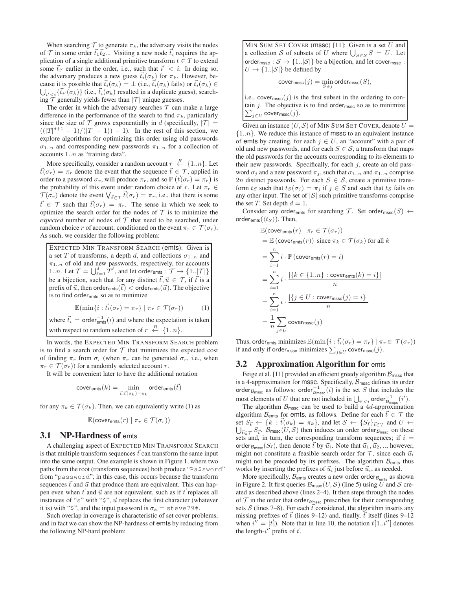When searching  $\mathcal T$  to generate  $\pi_k$ , the adversary visits the nodes of  $T$  in some order  $\vec{t}_1 \vec{t}_2 ...$  Visiting a new node  $\vec{t}_i$  requires the application of a single additional primitive transform  $t \in T$  to extend some  $\vec{t}_{i'}$  earlier in the order, i.e., such that  $i' < i$ . In doing so, the adversary produces a new guess  $\vec{t}_i(\sigma_k)$  for  $\pi_k$ . However, because it is possible that  $\vec{t}_i(\sigma_k) = \perp$  (i.e.,  $\vec{t}_i(\sigma_k)$  fails) or  $\vec{t}_i(\sigma_k) \in$  $\bigcup_{i' < i} \{\vec{t}_{i'}(\sigma_k)\}$  (i.e.,  $\vec{t}_i(\sigma_k)$  resulted in a duplicate guess), searching  $\mathcal T$  generally yields fewer than  $|\mathcal T|$  unique guesses.

The order in which the adversary searches  $T$  can make a large difference in the performance of the search to find  $\pi_k$ , particularly since the size of  $\mathcal T$  grows exponentially in d (specifically,  $|\mathcal T| =$  $((|T|^{d+1} - 1)/(|T| - 1)) - 1)$ . In the rest of this section, we explore algorithms for optimizing this order using old passwords  $\sigma_{1..n}$  and corresponding new passwords  $\pi_{1..n}$  for a collection of accounts  $1..n$  as "training data".

More specifically, consider a random account  $r \stackrel{R}{\leftarrow} \{1..n\}$ . Let  $\vec{t}(\sigma_r) = \pi_r$  denote the event that the sequence  $\vec{t} \in \mathcal{T}$ , applied in order to a password  $\sigma_r$ , will produce  $\pi_r$ , and so  $\mathbb{P}(\vec{t}(\sigma_r) = \pi_r)$  is the probability of this event under random choice of r. Let  $\pi_r \in$  $\mathcal{T}(\sigma_r)$  denote the event  $\bigvee_{\vec{t} \in \mathcal{T}} \vec{t}(\sigma_r) = \pi_r$ , i.e., that there is some  $\vec{t} \in \mathcal{T}$  such that  $\vec{t}(\sigma_r) = \pi_r$ . The sense in which we seek to optimize the search order for the nodes of  $T$  is to minimize the *expected* number of nodes of  $T$  that need to be searched, under random choice r of account, conditioned on the event  $\pi_r \in \mathcal{T}(\sigma_r)$ . As such, we consider the following problem:

EXPECTED MIN TRANSFORM SEARCH (emts): Given is a set T of transforms, a depth d, and collections  $\sigma_{1..n}$  and  $\pi_{1..n}$  of old and new passwords, respectively, for accounts 1..*n*. Let  $\mathcal{T} = \bigcup_{\ell=1}^d \tilde{T}^{\ell}$ , and let order<sub>emts</sub> :  $\mathcal{T} \to \{1..|\mathcal{T}|\}$ be a bijection, such that for any distinct  $\vec{t}, \vec{u} \in \mathcal{T}$ , if  $\vec{t}$  is a prefix of  $\vec{u}$ , then order<sub>emts</sub> $(\vec{t})$  < order<sub>emts</sub> $(\vec{u})$ . The objective is to find order<sub>emts</sub> so as to minimize

$$
\mathbb{E}(\min\{i : \vec{t}_i(\sigma_r) = \pi_r\} \mid \pi_r \in \mathcal{T}(\sigma_r))
$$
 (1)

where  $\vec{t}_i = \text{order}_{\text{emts}}^{-1}(i)$  and where the expectation is taken with respect to random selection of  $r \stackrel{R}{\leftarrow} \{1..n\}.$ 

In words, the EXPECTED MIN TRANSFORM SEARCH problem is to find a search order for  $T$  that minimizes the expected cost of finding  $\pi_r$  from  $\sigma_r$  (when  $\pi_r$  can be generated  $\sigma_r$ , i.e., when  $\pi_r \in \mathcal{T}(\sigma_r)$  for a randomly selected account r.

It will be convenient later to have the additional notation

$$
\mathsf{cover}_{\mathsf{emts}}(k) = \min_{\vec{t}: \vec{t}(\sigma_k) = \pi_k} \mathsf{order}_{\mathsf{emts}}(\vec{t})
$$

for any  $\pi_k \in \mathcal{T}(\sigma_k)$ . Then, we can equivalently write (1) as

$$
\mathbb{E}(\text{cover}_{\text{emts}}(r) \mid \pi_r \in \mathcal{T}(\sigma_r))
$$

#### **3.1 NP-Hardness of** emts

A challenging aspect of EXPECTED MIN TRANSFORM SEARCH is that multiple transform sequences  $\vec{t}$  can transform the same input into the same output. One example is shown in Figure 1, where two paths from the root (transform sequences) both produce "Pa\$sword" from "password"; in this case, this occurs because the transform sequences  $\vec{t}$  and  $\vec{u}$  that produce them are equivalent. This can happen even when  $\vec{t}$  and  $\vec{u}$  are not equivalent, such as if  $\vec{t}$  replaces all instances of "s" with " $\hat{y}$ ",  $\vec{u}$  replaces the first character (whatever it is) with "\$", and the input password is  $\sigma_k =$  steve79#.

Such overlap in coverage is characteristic of set cover problems, and in fact we can show the NP-hardness of emts by reducing from the following NP-hard problem:

MIN SUM SET COVER (mssc) [11]: Given is a set  $U$  and a collection S of subsets of U where  $\bigcup_{S \in \mathcal{S}} S = U$ . Let order<sub>mssc</sub> :  $S \rightarrow \{1..\vert S \vert\}$  be a bijection, and let cover<sub>mssc</sub> :  $U \rightarrow \{1..\vert S \vert\}$  be defined by

$$
cover_{\text{mssc}}(j) = \min_{S \ni j} order_{\text{mssc}}(S),
$$

i.e., cover<sub>mssc</sub> $(j)$  is the first subset in the ordering to contain  $j$ . The objective is to find order<sub>mssc</sub> so as to minimize  $\sum_{j\in U}$  cover<sub>mssc</sub>(j).

Given an instance  $(U, S)$  of MIN SUM SET COVER, denote  $U =$  $\{1..n\}$ . We reduce this instance of mssc to an equivalent instance of emts by creating, for each  $j \in U$ , an "account" with a pair of old and new passwords, and for each  $S \in \mathcal{S}$ , a transform that maps the old passwords for the accounts corresponding to its elements to their new passwords. Specifically, for each  $j$ , create an old password  $\sigma_j$  and a new password  $\pi_j$ , such that  $\sigma_{1..n}$  and  $\pi_{1..n}$  comprise 2n distinct passwords. For each  $S \in \mathcal{S}$ , create a primitive transform ts such that  $t_S(\sigma_j) = \pi_j$  if  $j \in S$  and such that ts fails on any other input. The set of  $|\mathcal{S}|$  such primitive transforms comprise the set T. Set depth  $d = 1$ .

Consider any order<sub>emts</sub> for searching  $\mathcal{T}$ . Set order<sub>mssc</sub> $(S)$  ← order<sub>emts</sub>( $\langle ts \rangle$ ). Then,

$$
\mathbb{E}(\text{cover}_{\text{emts}}(r) \mid \pi_r \in \mathcal{T}(\sigma_r))
$$
\n
$$
= \mathbb{E}(\text{cover}_{\text{emts}}(r)) \text{ since } \pi_k \in \mathcal{T}(\sigma_k) \text{ for all } k
$$
\n
$$
= \sum_{i=1}^n i \cdot \mathbb{P}(\text{cover}_{\text{emts}}(r) = i)
$$
\n
$$
= \sum_{i=1}^n i \cdot \frac{|\{k \in \{1..n\} : \text{cover}_{\text{emts}}(k) = i\}|}{n}
$$
\n
$$
= \sum_{i=1}^n i \cdot \frac{|\{j \in U : \text{cover}_{\text{mssc}}(j) = i\}|}{n}
$$
\n
$$
= \frac{1}{n} \sum_{j \in U} \text{cover}_{\text{mssc}}(j)
$$

Thus, order<sub>emts</sub> minimizes  $\mathbb{E}(\min\{i : \vec{t}_i(\sigma_r) = \pi_r\} | \pi_r \in \mathcal{T}(\sigma_r))$ if and only if order<sub>mssc</sub> minimizes  $\sum_{j \in U}$  cover<sub>mssc</sub>(j).

#### **3.2 Approximation Algorithm for** emts

Feige et al. [11] provided an efficient greedy algorithm  $B_{\text{mssc}}$  that is a 4-approximation for mssc. Specifically,  $B_{\text{mssc}}$  defines its order order $B_{\text{mssc}}$  as follows: order $B_{\text{mssc}}^{-1}(i)$  is the set S that includes the most elements of U that are not included in  $\bigcup_{i' < i} \text{order}_{\mathcal{B}_{\text{misse}}}^{-1}(i')$ .

The algorithm  $\mathcal{B}_{\text{mssc}}$  can be used to build a 4d-approximation algorithm  $\mathcal{B}_{\text{emts}}$  for emts, as follows. Define for each  $\vec{t} \in \mathcal{T}$  the set  $S_{\vec{t}} \leftarrow \{k : \vec{t}(\sigma_k) = \pi_k\}$ , and let  $\mathcal{S} \leftarrow \{S_{\vec{t}}\}_{\vec{t} \in \mathcal{T}}$  and  $U \leftarrow$  $\bigcup_{\vec{t} \in \mathcal{T}} S_{\vec{t}}$ .  $\mathcal{B}_{\text{mssc}}(U, \mathcal{S})$  then induces an order order  $\mathcal{B}_{\text{mssc}}$  on these sets and, in turn, the corresponding transform sequences; if  $i =$ order  $B_{\text{mssc}}(S_{\vec{t}})$ , then denote  $\vec{t}$  by  $\vec{u}_i$ . Note that  $\vec{u}_1, \vec{u}_2, \dots$ , however, might not constitute a feasible search order for  $\mathcal{T}$ , since each  $\vec{u}_i$ might not be preceded by its prefixes. The algorithm  $B_{\text{emts}}$  thus works by inserting the prefixes of  $\vec{u}_i$  just before  $\vec{u}_i$ , as needed.

More specifically,  $\mathcal{B}_{\text{emts}}$  creates a new order order $\mathcal{B}_{\text{emts}}$  as shown in Figure 2. It first queries  $\mathcal{B}_{\text{mssc}}(U, \mathcal{S})$  (line 5) using U and S created as described above (lines 2–4). It then steps through the nodes of  $T$  in the order that order  $B_{\text{mssc}}$  prescribes for their corresponding sets S (lines 7–8). For each  $\vec{t}$  considered, the algorithm inserts any missing prefixes of  $\vec{t}$  (lines 9–12) and, finally,  $\vec{t}$  itself (lines 9–12) when  $i'' = |\vec{t}|$ ). Note that in line 10, the notation  $\vec{t}$ [1..i''] denotes the length- $i''$  prefix of  $\vec{t}$ .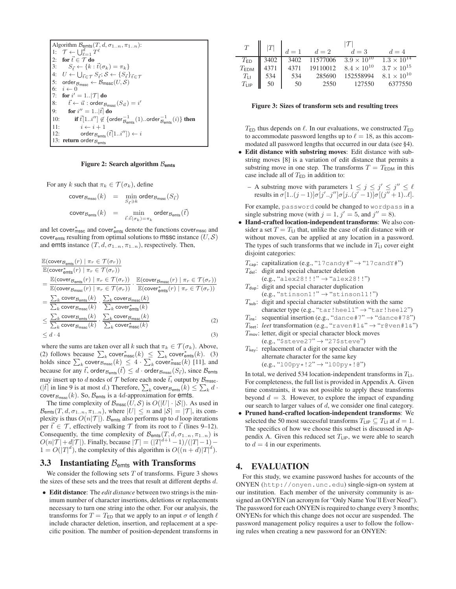Algorithm 
$$
\mathcal{B}_{\text{emts}}(T, d, \sigma_{1..n}, \pi_{1..n})
$$
:\n1:  $\mathcal{T} \leftarrow \bigcup_{\ell=1}^d T^{\ell}$ \n2: **for**  $\vec{t} \in \mathcal{T}$  **do**\n3:  $S_{\vec{t}} \leftarrow \{k : \vec{t}(\sigma_k) = \pi_k\}$ \n4:  $U \leftarrow \bigcup_{\vec{t} \in \mathcal{T}} S_{\vec{t}}; \mathcal{S} \leftarrow \{S_{\vec{t}}\}_{\vec{t} \in \mathcal{T}}$ \n5:  $\text{order}_{\mathcal{B}_{\text{mssc}}} \leftarrow \mathcal{B}_{\text{mssc}}(U, \mathcal{S})$ \n6:  $i \leftarrow 0$ \n7: **for**  $i' = 1..|\mathcal{T}|$  **do**\n8:  $\vec{t} \leftarrow \vec{u} : \text{order}_{\mathcal{B}_{\text{mssc}}} (S_{\vec{u}}) = i'$ \n9: **for**  $i'' = 1..|\vec{t}|$  **do**\n10: **if**  $\vec{t}[1..i''] \not\in \{\text{order}_{\mathcal{B}_{\text{emts}}}^{-1}(1).. \text{order}_{\mathcal{B}_{\text{emts}}}^{-1}(i)\}$  **then**\n11:  $i \leftarrow i + 1$ \n12:  $\text{order}_{\mathcal{B}_{\text{emts}}}(\vec{t}[1..i'']) \leftarrow i$ \n13: **return**  $\text{order}_{\mathcal{B}_{\text{emts}}} \leftarrow \mathcal{B}_{\text{emts}}} \leftarrow \mathcal{B}_{\text{emts}} \leftarrow \mathcal{B}_{\text{emts}} \leftarrow \mathcal{B}_{\text{emts}}} \leftarrow \mathcal{B}_{\text{emts}} \leftarrow \mathcal{B}_{\text{emts}}} \leftarrow \mathcal{B}_{\text{emts}} \leftarrow \mathcal{B}_{\text{emts}}} \leftarrow \mathcal{B}_{\text{emts}}} \leftarrow \mathcal{B}_{\text{emts}}} \leftarrow \mathcal{B}_{\text$ 

#### Figure 2: Search algorithm  $\beta_{\text{emts}}$

For any k such that  $\pi_k \in \mathcal{T}(\sigma_k)$ , define

$$
\begin{array}{lcl} \text{cover}_{\mathcal{B}_{\text{mssc}}}(k) & = & \min\limits_{S_{\vec{t}} \ni k} \text{order}_{\mathcal{B}_{\text{mssc}}}(S_{\vec{t}}) \\ \text{cover}_{\mathcal{B}_{\text{emts}}}(k) & = & \min\limits_{\vec{t}: \vec{t}(\sigma_k) = \pi_k} \text{order}_{\mathcal{B}_{\text{emts}}}(\vec{t}) \end{array}
$$

and let cover<sub>mssc</sub> and cover<sub>emts</sub> denote the functions cover<sub>mssc</sub> and coveremts resulting from optimal solutions to mssc instance  $(U, S)$ and emts instance  $(T, d, \sigma_{1..n}, \pi_{1..n})$ , respectively. Then,

$$
\frac{\mathbb{E}(\text{cover}_{\mathcal{B}_{\text{emts}}}(r) \mid \pi_r \in \mathcal{T}(\sigma_r))}{\mathbb{E}(\text{cover}_{\text{emts}}^*(r) \mid \pi_r \in \mathcal{T}(\sigma_r))}
$$
\n
$$
= \frac{\mathbb{E}(\text{cover}_{\mathcal{B}_{\text{emts}}}^*(r) \mid \pi_r \in \mathcal{T}(\sigma_r))}{\mathbb{E}(\text{cover}_{\mathcal{B}_{\text{musc}}}^*(r) \mid \pi_r \in \mathcal{T}(\sigma_r))} \cdot \frac{\mathbb{E}(\text{cover}_{\mathcal{B}_{\text{musc}}}^*(r) \mid \pi_r \in \mathcal{T}(\sigma_r))}{\mathbb{E}(\text{cover}_{\text{emts}}^*(r) \mid \pi_r \in \mathcal{T}(\sigma_r))}
$$
\n
$$
= \frac{\sum_{k} \text{cover}_{\mathcal{B}_{\text{emts}}}^*(k)}{\sum_{k} \text{cover}_{\mathcal{B}_{\text{musc}}}^*(k)} \cdot \frac{\sum_{k} \text{cover}_{\mathcal{B}_{\text{musc}}}^*(k)}{\sum_{k} \text{cover}_{\mathcal{B}_{\text{musc}}}^*(k)}
$$
\n
$$
\leq \frac{\sum_{k} \text{cover}_{\mathcal{B}_{\text{musc}}}^*(k)}{\sum_{k} \text{cover}_{\mathcal{B}_{\text{musc}}}^*(k)} \cdot \frac{\sum_{k} \text{cover}_{\mathcal{B}_{\text{musc}}}^*(k)}{\sum_{k} \text{cover}_{\mathcal{B}_{\text{musc}}}^*(k)} \tag{2}
$$
\n
$$
\leq d \cdot 4 \tag{3}
$$

where the sums are taken over all k such that  $\pi_k \in \mathcal{T}(\sigma_k)$ . Above, (2) follows because  $\sum_{k}$  cover $*_{\text{mssc}}^*(k) \leq \sum_{k}$  cover $*_{\text{emts}}^*(k)$ . (3) holds since  $\sum_{k}$  cover  $B_{\text{mssc}}(k) \leq 4 \cdot \sum_{k}$  cover  $\sum_{k}$  cover  $\sum_{k}$  [11], and because for any  $\vec{t}$ , order $_{\mathcal{B}_{\mathsf{emts}}}(\vec{t}) \leq d \cdot \mathsf{order}_{\mathcal{B}_{\mathsf{mssc}}}(S_{\vec{t}}),$  since  $\mathcal{B}_{\mathsf{emts}}$ may insert up to d nodes of  $\mathcal T$  before each node  $\vec{t}_i$  output by  $\mathcal B_{\text{mssc}}$ .  $(|\vec{t}|$  in line 9 is at most d.) Therefore,  $\sum_k \text{cover}_{\mathcal{B}_{\text{emts}}}(\hat{k}) \leq \sum_k d \cdot$ cover $B_{\text{mssc}}(k)$ . So,  $B_{\text{emts}}$  is a 4d-approximation for emts.

The time complexity of  $\mathcal{B}_{\text{mssc}}(U, \mathcal{S})$  is  $O(|U| \cdot |\mathcal{S}|)$ . As used in  $\mathcal{B}_{\text{emts}}(T, d, \sigma_{1..n}, \pi_{1..n})$ , where  $|U| \leq n$  and  $|\mathcal{S}| = |\mathcal{T}|$ , its complexity is thus  $O(n|\mathcal{T}|)$ .  $\mathcal{B}_{\text{emts}}$  also performs up to d loop iterations per  $\vec{t} \in \mathcal{T}$ , effectively walking  $\mathcal{T}$  from its root to  $\vec{t}$  (lines 9–12). Consequently, the time complexity of  $\mathcal{B}_{\text{emts}}(T, d, \sigma_{1..n}, \pi_{1..n})$  is  $O(n|\mathcal{T}|+d|\mathcal{T}|)$ . Finally, because  $|\mathcal{T}| = (|T|^{d+1}-1)/(|T|-1) 1 = O(|T|^d)$ , the complexity of this algorithm is  $O((n+d)|T|^d)$ .

#### **3.3 Instantiating** Bemts **with Transforms**

We consider the following sets  $T$  of transforms. Figure 3 shows the sizes of these sets and the trees that result at different depths  $d$ .

• **Edit distance**: The *edit distance* between two strings is the minimum number of character insertions, deletions or replacements necessary to turn one string into the other. For our analysis, the transforms for  $T = T_{ED}$  that we apply to an input  $\sigma$  of length  $\ell$ include character deletion, insertion, and replacement at a specific position. The number of position-dependent transforms in

|                       |               |            | $d=1$ $d=2$ $d=3$ |                                                    | $d=4$                |
|-----------------------|---------------|------------|-------------------|----------------------------------------------------|----------------------|
|                       | $T_{ED}$ 3402 |            |                   | $3402$ $11577006$ $3.9 \times 10^{10}$             | $1.3 \times 10^{14}$ |
| $T_{\text{EDM}}$ 4371 |               | 4371       |                   | 19110012 $8.4 \times 10^{10}$ $3.7 \times 10^{15}$ |                      |
| $T_{\mathsf{LI}}$     | - 534         | 534        | 285690            | 152558994                                          | $8.1 \times 10^{10}$ |
| $T_{\text{LIP}}$ 50   |               | $\vert$ 50 | 2550              | 127550                                             | 6377550              |

**Figure 3: Sizes of transform sets and resulting trees**

 $T_{ED}$  thus depends on  $\ell$ . In our evaluations, we constructed  $T_{ED}$ to accommodate password lengths up to  $\ell = 18$ , as this accommodated all password lengths that occurred in our data (see §4).

- **Edit distance with substring moves**: Edit distance with substring moves [8] is a variation of edit distance that permits a substring move in one step. The transforms  $T = T_{\text{EDM}}$  in this case include all of  $T_{ED}$  in addition to:
	- A substring move with parameters  $1 \leq j \leq j' \leq j'' \leq \ell$ results in  $\sigma[1..(j-1)]\sigma[j'..j'']\sigma[j..(j'-1)]\sigma[(j''+1)..\ell].$

For example, password could be changed to wordpass in a single substring move (with  $j = 1$ ,  $j' = 5$ , and  $j'' = 8$ ).

• **Hand-crafted location-independent transforms**: We also consider a set  $T = T_{11}$  that, unlike the case of edit distance with or without moves, can be applied at any location in a password. The types of such transforms that we include in  $T_{\text{LI}}$  cover eight disjoint categories:

 $T_{\text{cap}}$ : capitalization (e.g., "17candy#"  $\rightarrow$  "17candY#")  $T_{del}$ : digit and special character deletion (e.g., "alex28!!!" → "alex28!!")

- $T_{\text{dup}}$ : digit and special character duplication  $(e.g., "stinson1!" \rightarrow "stinson11!")$
- $T_{sub}$ : digit and special character substitution with the same character type (e.g., "tar!heel1"  $\rightarrow$  "tar!heel2")
- $T_{\mathsf{ins}}\!\!:\;\;$  sequential insertion (e.g., "dance#7"  $\rightarrow$  "dance#78")
- Tleet: *leet* transformation (e.g., "raven#1&" → "r@ven#1&")  $T<sub>mov</sub>$ : letter, digit or special character block moves

$$
(\text{e.g., "$steve27" \rightarrow "27$steve")}
$$

 $T_{\text{key}}$ : replacement of a digit or special character with the alternate character for the same key  $(e.g., "100py*!2" \rightarrow "100py*!@")$ 

In total, we derived 534 location-independent transforms in  $T_{\text{L1}}$ . For completeness, the full list is provided in Appendix A. Given time constraints, it was not possible to apply these transforms beyond  $d = 3$ . However, to explore the impact of expanding our search to larger values of d, we consider one final category.

• **Pruned hand-crafted location-independent transforms**: We selected the 50 most successful transforms  $T_{\text{LIP}} \subseteq T_{\text{LI}}$  at  $d = 1$ . The specifics of how we choose this subset is discussed in Appendix A. Given this reduced set  $T_{LIP}$ , we were able to search to  $d = 4$  in our experiments.

## **4. EVALUATION**

For this study, we examine password hashes for accounts of the ONYEN (http://onyen.unc.edu) single-sign-on system at our institution. Each member of the university community is assigned an ONYEN (an acronym for "Only Name You'll Ever Need"). The password for each ONYEN is required to change every 3 months; ONYENs for which this change does not occur are suspended. The password management policy requires a user to follow the following rules when creating a new password for an ONYEN: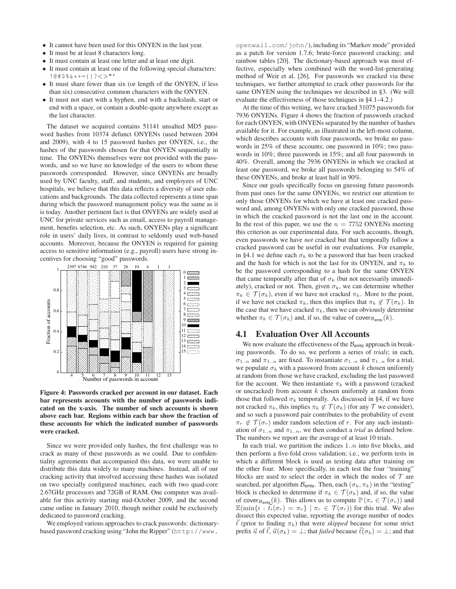- It cannot have been used for this ONYEN in the last year.
- It must be at least 8 characters long.
- It must contain at least one letter and at least one digit.
- It must contain at least one of the following special characters: !@#\$%&\*+={}?<>"'
- It must share fewer than six (or length of the ONYEN, if less than six) consecutive common characters with the ONYEN.
- It must not start with a hyphen, end with a backslash, start or end with a space, or contain a double-quote anywhere except as the last character.

The dataset we acquired contains 51141 unsalted MD5 password hashes from 10374 defunct ONYENs (used between 2004 and 2009), with 4 to 15 password hashes per ONYEN, i.e., the hashes of the passwords chosen for that ONYEN sequentially in time. The ONYENs themselves were not provided with the passwords, and so we have no knowledge of the users to whom these passwords corresponded. However, since ONYENs are broadly used by UNC faculty, staff, and students, and employees of UNC hospitals, we believe that this data reflects a diversity of user educations and backgrounds. The data collected represents a time span during which the password management policy was the same as it is today. Another pertinent fact is that ONYENs are widely used at UNC for private services such as email, access to payroll management, benefits selection, etc. As such, ONYENs play a significant role in users' daily lives, in contrast to seldomly used web-based accounts. Moreover, because the ONYEN is required for gaining access to sensitive information (e.g., payroll) users have strong incentives for choosing "good" passwords.



**Figure 4: Passwords cracked per account in our dataset. Each bar represents accounts with the number of passwords indicated on the x-axis. The number of such accounts is shown above each bar. Regions within each bar show the fraction of these accounts for which the indicated number of passwords were cracked.**

Since we were provided only hashes, the first challenge was to crack as many of these passwords as we could. Due to confidentiality agreements that accompanied this data, we were unable to distribute this data widely to many machines. Instead, all of our cracking activity that involved accessing these hashes was isolated on two specially configured machines, each with two quad-core 2.67GHz processors and 72GB of RAM. One computer was available for this activity starting mid-October 2009, and the second came online in January 2010, though neither could be exclusively dedicated to password cracking.

We employed various approaches to crack passwords: dictionarybased password cracking using "John the Ripper" (http://www.

openwall.com/john/), including its "Markov mode" provided as a patch for version 1.7.6; brute-force password cracking; and rainbow tables [20]. The dictionary-based approach was most effective, especially when combined with the word-list-generating method of Weir et al. [26]. For passwords we cracked via these techniques, we further attempted to crack other passwords for the same ONYEN using the techniques we described in §3. (We will evaluate the effectiveness of those techniques in §4.1–4.2.)

At the time of this writing, we have cracked 31075 passwords for 7936 ONYENs. Figure 4 shows the fraction of passwords cracked for each ONYEN, with ONYENs separated by the number of hashes available for it. For example, as illustrated in the left-most column, which describes accounts with four passwords, we broke no passwords in 25% of these accounts; one password in 10%; two passwords in 10%; three passwords in 15%; and all four passwords in 40%. Overall, among the 7936 ONYENs in which we cracked at least one password, we broke all passwords belonging to 54% of these ONYENs, and broke at least half in 90%.

Since our goals specifically focus on guessing future passwords from past ones for the same ONYENs, we restrict our attention to only those ONYENs for which we have at least one cracked password and, among ONYENs with only one cracked password, those in which the cracked password is not the last one in the account. In the rest of this paper, we use the  $n = 7752$  ONYENs meeting this criterion as our experimental data. For such accounts, though, even passwords we have *not* cracked but that temporally follow a cracked password can be useful in our evaluations. For example, in §4.1 we define each  $\sigma_k$  to be a password that has been cracked and the hash for which is not the last for its ONYEN, and  $\pi_k$  to be the password corresponding to a hash for the same ONYEN that came temporally after that of  $\sigma_k$  (but not necessarily immediately), cracked or not. Then, given  $\sigma_k$ , we can determine whether  $\pi_k \in \mathcal{T}(\sigma_k)$ , even if we have not cracked  $\pi_k$ . More to the point, if we have not cracked  $\pi_k$ , then this implies that  $\pi_k \notin \mathcal{T}(\sigma_k)$ . In the case that we have cracked  $\pi_k$ , then we can obviously determine whether  $\pi_k \in \mathcal{T}(\sigma_k)$  and, if so, the value of cover  $g_{\text{emts}}(k)$ .

#### **4.1 Evaluation Over All Accounts**

We now evaluate the effectiveness of the  $B_{\text{emts}}$  approach in breaking passwords. To do so, we perform a series of *trials*; in each,  $\sigma_{1..n}$  and  $\pi_{1..n}$  are fixed. To instantiate  $\sigma_{1..n}$  and  $\pi_{1..n}$  for a trial, we populate  $\sigma_k$  with a password from account k chosen uniformly at random from those we have cracked, excluding the last password for the account. We then instantiate  $\pi_k$  with a password (cracked or uncracked) from account  $k$  chosen uniformly at random from those that followed  $\sigma_k$  temporally. As discussed in §4, if we have not cracked  $\pi_k$ , this implies  $\pi_k \notin \mathcal{T}(\sigma_k)$  (for any  $\mathcal T$  we consider), and so such a password pair contributes to the probability of event  $\pi_r \notin \mathcal{T}(\sigma_r)$  under random selection of r. For any such instantiation of  $\sigma_{1..n}$  and  $\pi_{1..n}$ , we then conduct a *trial* as defined below. The numbers we report are the average of at least 10 trials.

In each trial, we partition the indices  $1..n$  into five blocks, and then perform a five-fold cross validation; i.e., we perform tests in which a different block is used as testing data after training on the other four. More specifically, in each test the four "training" blocks are used to select the order in which the nodes of  $\mathcal T$  are searched, per algorithm  $\mathcal{B}_{\text{emts}}$ . Then, each  $(\sigma_k, \pi_k)$  in the "testing" block is checked to determine if  $\pi_k \in \mathcal{T}(\sigma_k)$  and, if so, the value of cover $_{\mathcal{B}_{\text{emts}}}(k)$ . This allows us to compute  $\mathbb{P}(\pi_r \in \mathcal{T}(\sigma_r))$  and  $\mathbb{E}(\min\{i : \vec{t}_i(\sigma_r) = \pi_r\} \mid \pi_r \in \mathcal{T}(\sigma_r)$  for this trial. We also dissect this expected value, reporting the average number of nodes  $t$  (prior to finding  $\pi_k$ ) that were *skipped* because for some strict prefix  $\vec{u}$  of  $\vec{t}$ ,  $\vec{u}(\sigma_k) = \perp$ ; that *failed* because  $\vec{t}(\sigma_k) = \perp$ ; and that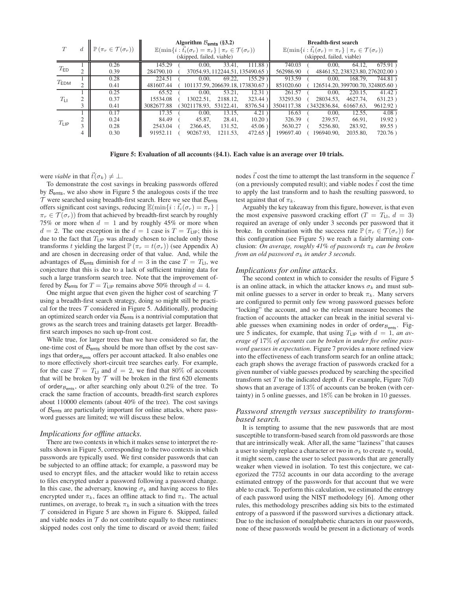| T                 | $\mathbb{P}(\pi_r \in \mathcal{T}(\sigma_r))$ | Algorithm $\mathcal{B}_{\text{emts}}$ (§3.2)<br>$\mathbb{E}(\min\{i: \vec{t}_i(\sigma_r) = \pi_r\} \mid \pi_r \in \mathcal{T}(\sigma_r))$<br>(skipped, failed, viable) |                                          |                                          |                                           | <b>Breadth-first search</b><br>$\mathbb{E}(\min\{i: \vec{t}_i(\sigma_r) = \pi_r\} \mid \pi_r \in \mathcal{T}(\sigma_r))$<br>(skipped, failed, viable) |  |                                            |                                         |                                             |
|-------------------|-----------------------------------------------|------------------------------------------------------------------------------------------------------------------------------------------------------------------------|------------------------------------------|------------------------------------------|-------------------------------------------|-------------------------------------------------------------------------------------------------------------------------------------------------------|--|--------------------------------------------|-----------------------------------------|---------------------------------------------|
| $T_{\mathsf{ED}}$ | 0.26<br>0.39                                  | 145.29<br>284790.10                                                                                                                                                    | 0.00.                                    | 33.41.                                   | 111.88<br>37054.93, 112244.51, 135490.65) | 740.03<br>562986.90                                                                                                                                   |  | 0.00.                                      | 64.12.                                  | 675.91<br>48461.52, 238323.80, 276202.00)   |
| $T_{\sf EDM}$     | 0.28<br>0.41                                  | 224.51<br>481607.44                                                                                                                                                    | 0.00.                                    | 69.22.<br>101137.59.206639.18.173830.67) | $155.29$ )                                | 913.59<br>851020.60                                                                                                                                   |  | 0.00.                                      | 168.79.                                 | 744.81)<br>126514.20, 399700.70, 324805.60) |
| $T_{\text{L}}$    | 0.25<br>0.37<br>0.41                          | 65.52<br>15534.08<br>3082677.88                                                                                                                                        | 0.00.<br>13022.51,<br>3021178.93.        | 53.21.<br>2188.12.<br>53122.41.          | 12.31<br>$323.44$ )<br>8376.54            | 261.57<br>33293.50<br>3504117.38                                                                                                                      |  | 0.00.<br>28034.53.<br>3432836.84.          | 220.15.<br>4627.74.<br>61667.63.        | $41.42$ )<br>631.23)<br>9612.92)            |
| $T_{\text{LIP}}$  | 0.17<br>0.24<br>0.28<br>0.30                  | 17.35<br>84.49<br>2543.04<br>91952.11                                                                                                                                  | 0.00.<br>45.87.<br>2366.45.<br>90267.93. | 13.15.<br>28.41.<br>131.52.<br>1211.53.  | 4.21<br>$10.20$ )<br>$45.06$ )<br>472.65) | 16.63<br>326.39<br>5630.27<br>199697.40                                                                                                               |  | 0.00.<br>239.57.<br>5256.80.<br>196940.90. | 12.55.<br>66.91.<br>283.92,<br>2035.80. | $4.08$ )<br>19.92)<br>89.55)<br>720.76)     |

**Figure 5: Evaluation of all accounts (§4.1). Each value is an average over 10 trials.**

were *viable* in that  $\vec{t}(\sigma_k) \neq \perp$ .

To demonstrate the cost savings in breaking passwords offered by  $B_{\text{emts}}$ , we also show in Figure 5 the analogous costs if the tree  $T$  were searched using breadth-first search. Here we see that  $B_{\text{emts}}$ offers significant cost savings, reducing  $\mathbb{E}(\min\{i : \vec{t}_i(\sigma_r) = \pi_r\})$  $\pi_r \in \mathcal{T}(\sigma_r)$  from that achieved by breadth-first search by roughly 75% or more when  $d = 1$  and by roughly 45% or more when  $d = 2$ . The one exception in the  $d = 1$  case is  $T = T_{LP}$ ; this is due to the fact that  $T_{\text{LIP}}$  was already chosen to include only those transforms t yielding the largest  $\mathbb{P}(\pi_r = t(\sigma_r))$  (see Appendix A) and are chosen in decreasing order of that value. And, while the advantages of  $B_{\text{emts}}$  diminish for  $d = 3$  in the case  $T = T_{\text{L1}}$ , we conjecture that this is due to a lack of sufficient training data for such a large transform search tree. Note that the improvement offered by  $\mathcal{B}_{\text{emts}}$  for  $T = T_{\text{LIP}}$  remains above 50% through  $d = 4$ .

One might argue that even given the higher cost of searching  $T$ using a breadth-first search strategy, doing so might still be practical for the trees  $T$  considered in Figure 5. Additionally, producing an optimized search order via  $B_{\text{emts}}$  is a nontrivial computation that grows as the search trees and training datasets get larger. Breadthfirst search imposes no such up-front cost.

While true, for larger trees than we have considered so far, the one-time cost of  $B_{\text{emts}}$  should be more than offset by the cost savings that order $B_{\text{emts}}$  offers per account attacked. It also enables one to more effectively short-circuit tree searches early. For example, for the case  $T = T_{\text{L}}$  and  $d = 2$ , we find that 80% of accounts that will be broken by  $T$  will be broken in the first 620 elements of order $B_{\text{emts}}$ , or after searching only about 0.2% of the tree. To crack the same fraction of accounts, breadth-first search explores about 110000 elements (about 40% of the tree). The cost savings of  $B<sub>emts</sub>$  are particularly important for online attacks, where password guesses are limited; we will discuss these below.

#### *Implications for offline attacks.*

There are two contexts in which it makes sense to interpret the results shown in Figure 5, corresponding to the two contexts in which passwords are typically used. We first consider passwords that can be subjected to an offline attack; for example, a password may be used to encrypt files, and the attacker would like to retain access to files encrypted under a password following a password change. In this case, the adversary, knowing  $\sigma_k$  and having access to files encrypted under  $\pi_k$ , faces an offline attack to find  $\pi_k$ . The actual runtimes, on average, to break  $\pi_k$  in such a situation with the trees  $\mathcal T$  considered in Figure 5 are shown in Figure 6. Skipped, failed and viable nodes in  $T$  do not contribute equally to these runtimes: skipped nodes cost only the time to discard or avoid them; failed

nodes  $\vec{t}$  cost the time to attempt the last transform in the sequence  $\vec{t}$ (on a previously computed result); and viable nodes  $\vec{t}$  cost the time to apply the last transform and to hash the resulting password, to test against that of  $\pi_k$ .

Arguably the key takeaway from this figure, however, is that even the most expensive password cracking effort ( $T = T_{\text{LI}}$ ,  $d = 3$ ) required an average of only under 3 seconds per password that it broke. In combination with the success rate  $\mathbb{P}(\pi_r \in \mathcal{T}(\sigma_r))$  for this configuration (see Figure 5) we reach a fairly alarming conclusion: *On average, roughly 41% of passwords* π<sub>k</sub> can be broken *from an old password*  $\sigma_k$  *in under 3 seconds.* 

#### *Implications for online attacks.*

The second context in which to consider the results of Figure 5 is an online attack, in which the attacker knows  $\sigma_k$  and must submit online guesses to a server in order to break  $\pi_k$ . Many servers are configured to permit only few wrong password guesses before "locking" the account, and so the relevant measure becomes the fraction of accounts the attacker can break in the initial several viable guesses when examining nodes in order of order $B<sub>emts</sub>$ . Figure 5 indicates, for example, that using  $T_{\text{LIP}}$  with  $d = 1$ , an av*erage of* 17% *of accounts can be broken in under five online password guesses in expectation*. Figure 7 provides a more refined view into the effectiveness of each transform search for an online attack; each graph shows the average fraction of passwords cracked for a given number of viable guesses produced by searching the specified transform set  $T$  to the indicated depth  $d$ . For example, Figure 7(d) shows that an average of 13% of accounts can be broken (with certainty) in 5 online guesses, and 18% can be broken in 10 guesses.

#### *Password strength versus susceptibility to transformbased search.*

It is tempting to assume that the new passwords that are most susceptible to transform-based search from old passwords are those that are intrinsically weak. After all, the same "laziness" that causes a user to simply replace a character or two in  $\sigma_k$  to create  $\pi_k$  would, it might seem, cause the user to select passwords that are generally weaker when viewed in isolation. To test this conjecture, we categorized the 7752 accounts in our data according to the average estimated entropy of the passwords for that account that we were able to crack. To perform this calculation, we estimated the entropy of each password using the NIST methodology [6]. Among other rules, this methodology prescribes adding six bits to the estimated entropy of a password if the password survives a dictionary attack. Due to the inclusion of nonalphabetic characters in our passwords, none of these passwords would be present in a dictionary of words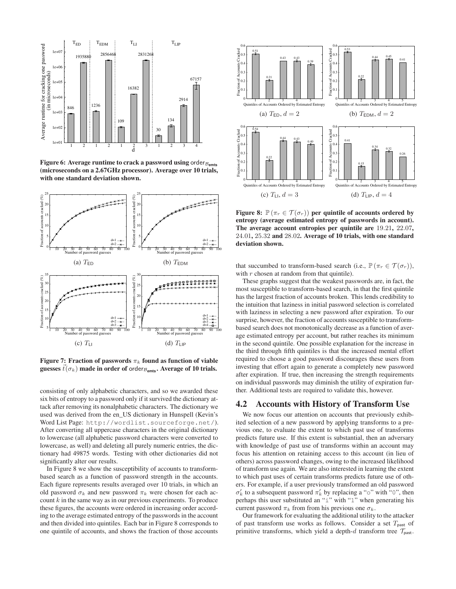

**Figure 6: Average runtime to crack a password using order**  $B_{\text{emts}}$ **(microseconds on a 2.67GHz processor). Average over 10 trials, with one standard deviation shown.**



**Figure 7: Fraction of passwords**  $\pi_k$  **found as function of viable guesses**  $\vec{t}(\sigma_k)$  **made in order of** order<sub>Bemts</sub>. Average of 10 trials.

consisting of only alphabetic characters, and so we awarded these six bits of entropy to a password only if it survived the dictionary attack after removing its nonalphabetic characters. The dictionary we used was derived from the en\_US dictionary in Hunspell (Kevin's Word List Page: http://wordlist.sourceforge.net/). After converting all uppercase characters in the original dictionary to lowercase (all alphabetic password characters were converted to lowercase, as well) and deleting all purely numeric entries, the dictionary had 49875 words. Testing with other dictionaries did not significantly alter our results.

In Figure 8 we show the susceptibility of accounts to transformbased search as a function of password strength in the accounts. Each figure represents results averaged over 10 trials, in which an old password  $\sigma_k$  and new password  $\pi_k$  were chosen for each account  $k$  in the same way as in our previous experiments. To produce these figures, the accounts were ordered in increasing order according to the average estimated entropy of the passwords in the account and then divided into quintiles. Each bar in Figure 8 corresponds to one quintile of accounts, and shows the fraction of those accounts



**Figure 8:**  $\mathbb{P}(\pi_r \in \mathcal{T}(\sigma_r))$  per quintile of accounts ordered by **entropy (average estimated entropy of passwords in account). The average account entropies per quintile are** 19.21**,** 22.07**,** 24.01**,** 25.32 **and** 28.02**. Average of 10 trials, with one standard deviation shown.**

that succumbed to transform-based search (i.e.,  $\mathbb{P}(\pi_r \in \mathcal{T}(\sigma_r)),$ with  $r$  chosen at random from that quintile).

These graphs suggest that the weakest passwords are, in fact, the most susceptible to transform-based search, in that the first quintile has the largest fraction of accounts broken. This lends credibility to the intuition that laziness in initial password selection is correlated with laziness in selecting a new password after expiration. To our surprise, however, the fraction of accounts susceptible to transformbased search does not monotonically decrease as a function of average estimated entropy per account, but rather reaches its minimum in the second quintile. One possible explanation for the increase in the third through fifth quintiles is that the increased mental effort required to choose a good password discourages these users from investing that effort again to generate a completely new password after expiration. If true, then increasing the strength requirements on individual passwords may diminish the utility of expiration further. Additional tests are required to validate this, however.

## **4.2 Accounts with History of Transform Use**

We now focus our attention on accounts that previously exhibited selection of a new password by applying transforms to a previous one, to evaluate the extent to which past use of transforms predicts future use. If this extent is substantial, then an adversary with knowledge of past use of transforms within an account may focus his attention on retaining access to this account (in lieu of others) across password changes, owing to the increased likelihood of transform use again. We are also interested in learning the extent to which past uses of certain transforms predicts future use of others. For example, if a user previously transformed an old password  $\sigma'_k$  to a subsequent password  $\pi'_k$  by replacing a "o" with "0", then perhaps this user substituted an "i" with "1" when generating his current password  $\pi_k$  from from his previous one  $\sigma_k$ .

Our framework for evaluating the additional utility to the attacker of past transform use works as follows. Consider a set  $T_{\text{past}}$  of primitive transforms, which yield a depth-d transform tree  $\mathcal{T}_{\text{past}}$ .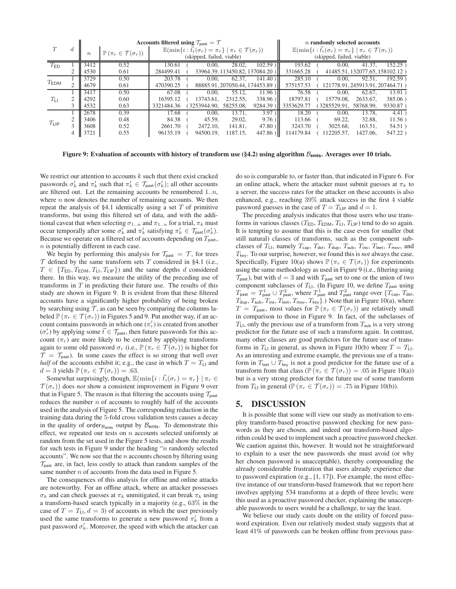| T                | d | Accounts filtered using $\mathcal{T}_{\text{past}} = \mathcal{T}$<br>$\mathbb{E}(\min\{i:\vec{t}_i(\sigma_r)=\pi_r\}\mid \pi_r\in\mathcal{T}(\sigma_r))$ |                                               |            |                           |           |                                 | $n$ randomly selected accounts<br>$\mathbb{E}(\min\{i:\vec{t}_i(\sigma_r)=\pi_r\}\mid \pi_r\in\mathcal{T}(\sigma_r))$ |                           |                                 |            |  |
|------------------|---|----------------------------------------------------------------------------------------------------------------------------------------------------------|-----------------------------------------------|------------|---------------------------|-----------|---------------------------------|-----------------------------------------------------------------------------------------------------------------------|---------------------------|---------------------------------|------------|--|
|                  |   | $\boldsymbol{n}$                                                                                                                                         | $\mathbb{P}(\pi_r \in \mathcal{T}(\sigma_r))$ |            | (skipped, failed, viable) |           |                                 |                                                                                                                       | (skipped, failed, viable) |                                 |            |  |
| $T_{ED}$         |   | 3412                                                                                                                                                     | 0.52                                          | 130.61     | 0.00.                     | 28.02,    | $102.59$ )                      | 193.62                                                                                                                | 0.00.                     | 41.37.                          | $152.25$ ) |  |
|                  |   | 4530                                                                                                                                                     | 0.61                                          | 284499.41  |                           |           | 33964.39, 113450.82, 137084.20) | 331665.28                                                                                                             |                           | 41485.51, 132077.65, 158102.12) |            |  |
|                  |   | 3729                                                                                                                                                     | 0.50                                          | 203.78     | 0.00.                     | 62.37.    | $141.40$ )                      | 285.10                                                                                                                | 0.00.                     | 92.51.                          | $192.59$ ) |  |
| $T_{\sf EDM}$    |   | 4679                                                                                                                                                     | 0.61                                          | 470390.25  |                           |           | 88885.91.207050.44.174453.89)   | 575157.53                                                                                                             |                           | 121778.91.245913.91.207464.71)  |            |  |
|                  |   | 3417                                                                                                                                                     | 0.50                                          | 67.08      | 0.00.                     | 55.12.    | $11.96$ )                       | 76.58                                                                                                                 | 0.00.                     | 62.67.                          | 13.91)     |  |
| $T_{\text{L}}$   |   | 4292                                                                                                                                                     | 0.60                                          | 16395.12   | 13743.61.                 | 2312.55.  | $338.96$ )                      | 18797.81                                                                                                              | 15779.08.                 | 2633.67.                        | $385.06$ ) |  |
|                  |   | 4532                                                                                                                                                     | 0.63                                          | 3321484.36 | 3253944.90.               | 58255.08, |                                 | 9284.39 ) 3353629.77                                                                                                  | 3285529.91.               | 58768.99.                       | 9330.87)   |  |
|                  |   | 2678                                                                                                                                                     | 0.39                                          | 17.68      | 0.00.                     | 13.71.    | 3.97)                           | 18.20                                                                                                                 | 0.00.                     | 13.78.                          | 4.41)      |  |
| $T_{\text{LIP}}$ |   | 3406                                                                                                                                                     | 0.48                                          | 84.38      | 45.59.                    | 29.02.    | $9.76$ )                        | 113.66                                                                                                                | 69.22.                    | 32.88.                          | 11.56)     |  |
|                  |   | 3608                                                                                                                                                     | 0.52                                          | 2661.70    | 2472.10.                  | 141.81.   | $47.80$ )                       | 3243.70                                                                                                               | 3025.68.                  | 163.51,                         | 54.51)     |  |
|                  |   | 3721                                                                                                                                                     | 0.55                                          | 96135.19   | 94500.19.                 | 1187.15,  | $447.86$ )                      | 114179.84                                                                                                             | 112205.57.                | 1427.06.                        | 547.22)    |  |

**Figure 9: Evaluation of accounts with history of transform use (§4.2) using algorithm** B**emts. Averages over 10 trials.**

We restrict our attention to accounts  $k$  such that there exist cracked passwords  $\sigma'_k$  and  $\pi'_k$  such that  $\pi'_k \in \mathcal{T}_{\text{past}}(\sigma'_k)$ ; all other accounts are filtered out. Let the remaining accounts be renumbered 1..n, where  $n$  now denotes the number of remaining accounts. We then repeat the analysis of  $§4.1$  identically using a set  $T$  of primitive transforms, but using this filtered set of data, and with the additional caveat that when selecting  $\sigma_{1..n}$  and  $\pi_{1..n}$  for a trial,  $\pi_k$  must occur temporally after some  $\sigma_k^{\prime}$  and  $\pi_k^{\prime}$  satisfying  $\pi_k^{\prime} \in \mathcal{T}_{\text{past}}(\sigma_k^{\prime})$ . Because we operate on a filtered set of accounts depending on  $T_{\text{past}}$ , n is potentially different in each case.

We begin by performing this analysis for  $\mathcal{T}_{\text{past}} = \mathcal{T}$ , for trees  $T$  defined by the same transform sets  $T$  considered in §4.1 (i.e.,  $T \in \{T_{ED}, T_{EDM}, T_{LI}, T_{LIP}\}\)$  and the same depths d considered there. In this way, we measure the utility of the preceding use of transforms in  $T$  in predicting their future use. The results of this study are shown in Figure 9. It is evident from that these filtered accounts have a significantly higher probability of being broken by searching using  $\mathcal T$ , as can be seen by comparing the columns labeled  $\mathbb{P}(\pi_r \in \mathcal{T}(\sigma_r))$  in Figures 5 and 9. Put another way, if an account contains passwords in which one  $(\pi'_r)$  is created from another  $(\sigma'_r)$  by applying some  $\vec{t} \in \mathcal{T}_{\text{past}}$ , then future passwords for this account  $(\pi_r)$  are more likely to be created by applying transforms again to some old password  $\sigma_r$  (i.e.,  $\mathbb{P}(\pi_r \in \mathcal{T}(\sigma_r))$  is higher for  $\mathcal{T} = \mathcal{T}_{\text{past}}$ ). In some cases the effect is so strong that well over *half* of the accounts exhibit it; e.g., the case in which  $T = T_{\text{L}}$  and  $d = 3$  yields  $\mathbb{P}(\pi_r \in \mathcal{T}(\sigma_r)) = .63$ .

Somewhat surprisingly, though,  $\mathbb{E}(\min\{i : \vec{t}_i(\sigma_r) = \pi_r\} | \pi_r \in$  $\mathcal{T}(\sigma_r)$ ) does *not* show a consistent improvement in Figure 9 over that in Figure 5. The reason is that filtering the accounts using  $\mathcal{T}_{\text{past}}$ reduces the number  $n$  of accounts to roughly half of the accounts used in the analysis of Figure 5. The corresponding reduction in the training data during the 5-fold cross validation tests causes a decay in the quality of order $B_{\text{emts}}$  output by  $B_{\text{emts}}$ . To demonstrate this effect, we repeated our tests on  $n$  accounts selected uniformly at random from the set used in the Figure 5 tests, and show the results for such tests in Figure 9 under the heading " $n$  randomly selected accounts". We now see that the  $n$  accounts chosen by filtering using  $\mathcal{T}_{\text{past}}$  are, in fact, less costly to attack than random samples of the same number  $n$  of accounts from the data used in Figure 5.

The consequences of this analysis for offline and online attacks are noteworthy. For an offline attack, where an attacker possesses  $\sigma_k$  and can check guesses at  $\pi_k$  unmitigated, it can break  $\pi_k$  using a transform-based search typically in a majority (e.g., 63% in the case of  $T = T_{\text{LI}}$ ,  $d = 3$ ) of accounts in which the user previously used the same transforms to generate a new password  $\pi'_{k}$  from a past password  $\sigma'_k$ . Moreover, the speed with which the attacker can

do so is comparable to, or faster than, that indicated in Figure 6. For an online attack, where the attacker must submit guesses at  $\pi_k$  to a server, the success rates for the attacker on these accounts is also enhanced, e.g., reaching 39% attack success in the first 4 viable password guesses in the case of  $T = T_{\text{LIP}}$  and  $d = 1$ .

The preceding analysis indicates that those users who use transforms in various classes ( $T_{ED}$ ,  $T_{EDM}$ ,  $T_{LI}$ ,  $T_{LIP}$ ) tend to do so again. It is tempting to assume that this is the case even for smaller (but still natural) classes of transforms, such as the component subclasses of  $T_{\text{LI}}$ , namely  $T_{\text{cap}}$ ,  $T_{\text{del}}$ ,  $T_{\text{dup}}$ ,  $T_{\text{sub}}$ ,  $T_{\text{ins}}$ ,  $T_{\text{leet}}$ ,  $T_{\text{mov}}$ , and  $T_{\text{key}}$ . To our surprise, however, we found this is *not* always the case. Specifically, Figure 10(a) shows  $\mathbb{P}(\pi_r \in \mathcal{T}(\sigma_r))$  for experiments using the same methodology as used in Figure 9 (i.e., filtering using  $(\mathcal{T}_{\text{past}})$ , but with  $d=3$  and with  $T_{\text{past}}$  set to one or the union of two component subclasses of  $T_{\text{LI}}$ . (In Figure 10, we define  $T_{\text{past}}$  using  $T_{\text{past}} = T_{\text{past}}^1 \cup T_{\text{past}}^2$ , where  $T_{\text{past}}^1$  and  $T_{\text{past}}^2$  range over  $\{T_{\text{cap}}, T_{\text{del}},$  $T_{\text{dup}}, T_{\text{sub}}, T_{\text{ins}}, T_{\text{leet}}, T_{\text{mov}}, T_{\text{key}}$ .) Note that in Figure 10(a), where  $T = T_{\text{past}}$ , most values for  $\mathbb{P}(\pi_r \in \mathcal{T}(\sigma_r))$  are relatively small in comparison to those in Figure 9. In fact, of the subclasses of  $T_{\text{LI}}$ , only the previous use of a transform from  $T_{\text{sub}}$  is a very strong predictor for the future use of such a transform again. In contrast, many other classes are good predictors for the future use of transforms in  $T_{11}$  in general, as shown in Figure 10(b) where  $T = T_{11}$ . As an interesting and extreme example, the previous use of a transform in  $T_{\text{leet}} \cup T_{\text{key}}$  is not a good predictor for the future use of a transform from that class ( $\mathbb{P}(\pi_r \in \mathcal{T}(\sigma_r)) = .05$  in Figure 10(a)) but is a very strong predictor for the future use of some transform from  $T_{\text{LI}}$  in general ( $\mathbb{P}(\pi_r \in \mathcal{T}(\sigma_r)) = .75$  in Figure 10(b)).

## **5. DISCUSSION**

It is possible that some will view our study as motivation to employ transform-based proactive password checking for new passwords as they are chosen, and indeed our transform-based algorithm could be used to implement such a proactive password checker. We caution against this, however. It would not be straightforward to explain to a user the new passwords she must avoid (or why her chosen password is unacceptable), thereby compounding the already considerable frustration that users already experience due to password expiration (e.g., [1, 17]). For example, the most effective instance of our transform-based framework that we report here involves applying 534 transforms at a depth of three levels; were this used as a proactive password checker, explaining the unacceptable passwords to users would be a challenge, to say the least.

We believe our study casts doubt on the utility of forced password expiration. Even our relatively modest study suggests that at least 41% of passwords can be broken offline from previous pass-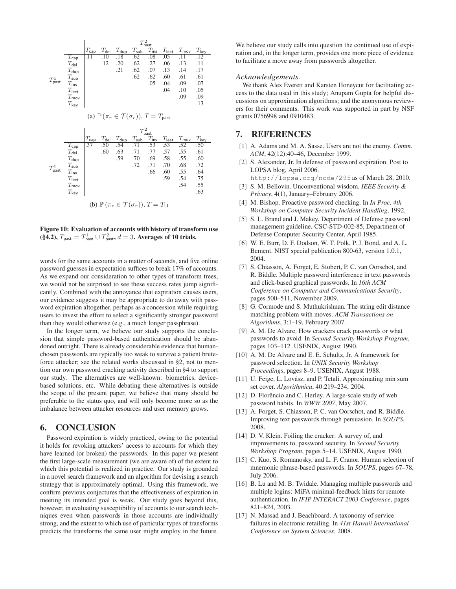

(b) 
$$
\mathbb{P}(\pi_r \in \mathcal{T}(\sigma_r)), T = T_{\text{LI}}
$$

#### **Figure 10: Evaluation of accounts with history of transform use** (§4.2),  $T_{\text{past}} = T_{\text{past}}^1 \cup T_{\text{past}}^2$ ,  $d = 3$ . Averages of 10 trials.

words for the same accounts in a matter of seconds, and five online password guesses in expectation suffices to break 17% of accounts. As we expand our consideration to other types of transform trees, we would not be surprised to see these success rates jump significantly. Combined with the annoyance that expiration causes users, our evidence suggests it may be appropriate to do away with password expiration altogether, perhaps as a concession while requiring users to invest the effort to select a significantly stronger password than they would otherwise (e.g., a much longer passphrase).

In the longer term, we believe our study supports the conclusion that simple password-based authentication should be abandoned outright. There is already considerable evidence that humanchosen passwords are typically too weak to survive a patient bruteforce attacker; see the related works discussed in §2, not to mention our own password cracking activity described in §4 to support our study. The alternatives are well-known: biometrics, devicebased solutions, etc. While debating these alternatives is outside the scope of the present paper, we believe that many should be preferable to the status quo, and will only become more so as the imbalance between attacker resources and user memory grows.

# **6. CONCLUSION**

Password expiration is widely practiced, owing to the potential it holds for revoking attackers' access to accounts for which they have learned (or broken) the passwords. In this paper we present the first large-scale measurement (we are aware of) of the extent to which this potential is realized in practice. Our study is grounded in a novel search framework and an algorithm for devising a search strategy that is approximately optimal. Using this framework, we confirm previous conjectures that the effectiveness of expiration in meeting its intended goal is weak. Our study goes beyond this, however, in evaluating susceptibility of accounts to our search techniques even when passwords in those accounts are individually strong, and the extent to which use of particular types of transforms predicts the transforms the same user might employ in the future.

We believe our study calls into question the continued use of expiration and, in the longer term, provides one more piece of evidence to facilitate a move away from passwords altogether.

#### *Acknowledgements.*

We thank Alex Everett and Karsten Honeycut for facilitating access to the data used in this study; Anupam Gupta for helpful discussions on approximation algorithms; and the anonymous reviewers for their comments. This work was supported in part by NSF grants 0756998 and 0910483.

# **7. REFERENCES**

- [1] A. Adams and M. A. Sasse. Users are not the enemy. *Comm. ACM*, 42(12):40–46, December 1999.
- [2] S. Alexander, Jr. In defense of password expiration. Post to LOPSA blog, April 2006.
	- http://lopsa.org/node/295 as of March 28, 2010.
- [3] S. M. Bellovin. Unconventional wisdom. *IEEE Security & Privacy*, 4(1), January–February 2006.
- [4] M. Bishop. Proactive password checking. In *In Proc. 4th Workshop on Computer Security Incident Handling*, 1992.
- [5] S. L. Brand and J. Makey. Department of Defense password management guideline. CSC-STD-002-85, Department of Defense Computer Security Center, April 1985.
- [6] W. E. Burr, D. F. Dodson, W. T. Polk, P. J. Bond, and A. L. Bement. NIST special publication 800-63, version 1.0.1, 2004.
- [7] S. Chiasson, A. Forget, E. Stobert, P. C. van Oorschot, and R. Biddle. Multiple password interference in text passwords and click-based graphical passwords. In *16th ACM Conference on Computer and Communications Security*, pages 500–511, November 2009.
- [8] G. Cormode and S. Muthukrishnan. The string edit distance matching problem with moves. *ACM Transactions on Algorithms*, 3:1–19, February 2007.
- [9] A. M. De Alvare. How crackers crack passwords or what passwords to avoid. In *Second Security Workshop Program*, pages 103–112. USENIX, August 1990.
- [10] A. M. De Alvare and E. E. Schultz, Jr. A framework for password selection. In *UNIX Security Workshop Proceedings*, pages 8–9. USENIX, August 1988.
- [11] U. Feige, L. Lovász, and P. Tetali. Approximating min sum set cover. *Algorithmica*, 40:219–234, 2004.
- [12] D. Florêncio and C. Herley. A large-scale study of web password habits. In *WWW 2007*, May 2007.
- [13] A. Forget, S. Chiasson, P. C. van Oorschot, and R. Biddle. Improving text passwords through persuasion. In *SOUPS*, 2008.
- [14] D. V. Klein. Foiling the cracker: A survey of, and improvements to, password security. In *Second Security Workshop Program*, pages 5–14. USENIX, August 1990.
- [15] C. Kuo, S. Romanosky, and L. F. Cranor. Human selection of mnemonic phrase-based passwords. In *SOUPS*, pages 67–78, July 2006.
- [16] B. Lu and M. B. Twidale. Managing multiple passwords and multiple logins: MiFA minimal-feedback hints for remote authentication. In *IFIP INTERACT 2003 Conference*, pages 821–824, 2003.
- [17] N. Massad and J. Beachboard. A taxonomy of service failures in electronic retailing. In *41st Hawaii International Conference on System Sciences*, 2008.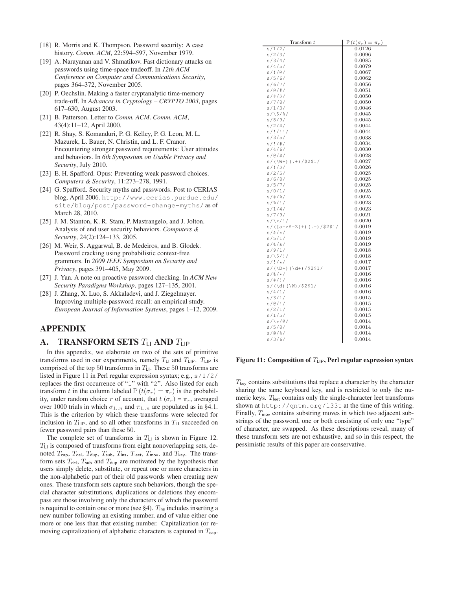| [18] R. Morris and K. Thompson. Password security: A case |
|-----------------------------------------------------------|
| history. <i>Comm. ACM</i> , 22:594–597, November 1979.    |

- [19] A. Narayanan and V. Shmatikov. Fast dictionary attacks on passwords using time-space tradeoff. In *12th ACM Conference on Computer and Communications Security*, pages 364–372, November 2005.
- [20] P. Oechslin. Making a faster cryptanalytic time-memory trade-off. In *Advances in Cryptology – CRYPTO 2003*, pages 617–630, August 2003.
- [21] B. Patterson. Letter to *Comm. ACM*. *Comm. ACM*, 43(4):11–12, April 2000.
- [22] R. Shay, S. Komanduri, P. G. Kelley, P. G. Leon, M. L. Mazurek, L. Bauer, N. Christin, and L. F. Cranor. Encountering stronger password requirements: User attitudes and behaviors. In *6th Symposium on Usable Privacy and Security*, July 2010.
- [23] E. H. Spafford. Opus: Preventing weak password choices. *Computers & Security*, 11:273–278, 1991.
- [24] G. Spafford. Security myths and passwords. Post to CERIAS blog, April 2006. http://www.cerias.purdue.edu/ site/blog/post/password-change-myths/ as of March 28, 2010.
- [25] J. M. Stanton, K. R. Stam, P. Mastrangelo, and J. Jolton. Analysis of end user security behaviors. *Computers & Security*, 24(2):124–133, 2005.
- [26] M. Weir, S. Aggarwal, B. de Medeiros, and B. Glodek. Password cracking using probabilistic context-free grammars. In *2009 IEEE Symposium on Security and Privacy*, pages 391–405, May 2009.
- [27] J. Yan. A note on proactive password checking. In *ACM New Security Paradigms Workshop*, pages 127–135, 2001.
- [28] J. Zhang, X. Luo, S. Akkaladevi, and J. Ziegelmayer. Improving multiple-password recall: an empirical study. *European Journal of Information Systems*, pages 1–12, 2009.

# **APPENDIX**

## **A. TRANSFORM SETS**  $T_{\text{LI}}$  **AND**  $T_{\text{LIP}}$

In this appendix, we elaborate on two of the sets of primitive transforms used in our experiments, namely  $T_{\text{LI}}$  and  $T_{\text{LIP}}$ .  $T_{\text{LIP}}$  is comprised of the top 50 transforms in  $T_{L}$ . These 50 transforms are listed in Figure 11 in Perl regular expression syntax; e.g., s/1/2/ replaces the first occurrence of "1" with "2". Also listed for each transform t in the column labeled  $\mathbb{P}(t(\sigma_r) = \pi_r)$  is the probability, under random choice r of account, that  $t(\sigma_r) = \pi_r$ , averaged over 1000 trials in which  $\sigma_{1..n}$  and  $\pi_{1..n}$  are populated as in §4.1. This is the criterion by which these transforms were selected for inclusion in  $T_{\text{LIP}}$ , and so all other transforms in  $T_{\text{LI}}$  succeeded on fewer password pairs than these 50.

The complete set of transforms in  $T_{L1}$  is shown in Figure 12.  $T_{L1}$  is composed of transforms from eight nonoverlapping sets, denoted  $T_{\text{cap}}$ ,  $T_{\text{del}}$ ,  $T_{\text{dup}}$ ,  $T_{\text{sub}}$ ,  $T_{\text{ins}}$ ,  $T_{\text{leet}}$ ,  $T_{\text{mov}}$ , and  $T_{\text{key}}$ . The transform sets  $T_{\text{del}}$ ,  $T_{\text{sub}}$  and  $T_{\text{dup}}$  are motivated by the hypothesis that users simply delete, substitute, or repeat one or more characters in the non-alphabetic part of their old passwords when creating new ones. These transform sets capture such behaviors, though the special character substitutions, duplications or deletions they encompass are those involving only the characters of which the password is required to contain one or more (see §4).  $T_{\text{ins}}$  includes inserting a new number following an existing number, and of value either one more or one less than that existing number. Capitalization (or removing capitalization) of alphabetic characters is captured in  $T_{\text{cap}}$ .

| Transform t                           | $\mathbb{P}\left(t(\sigma_r)=\pi_r\right)$ |
|---------------------------------------|--------------------------------------------|
| s/1/2/                                | 0.0126                                     |
| s/2/3/                                | 0.0096                                     |
| s/3/4/                                | 0.0085                                     |
| s/4/5/                                | 0.0079                                     |
| $s/!/$ e/                             | 0.0067                                     |
| s/5/6/                                | 0.0062                                     |
| s/6/7/                                | 0.0056                                     |
| $s/0/$ #/                             | 0.0051                                     |
| s/#/\$/                               | 0.0050                                     |
| s/7/8/                                | 0.0050                                     |
| s/1/3/                                | 0.0046                                     |
| $s/\sqrt{s}/\sqrt{s}/$                | 0.0045                                     |
| s/8/9/                                | 0.0045                                     |
| s/2/4/                                | 0.0044                                     |
| s/!/!!/                               | 0.0044                                     |
| s/3/5/                                | 0.0038                                     |
|                                       |                                            |
| s/!/#/                                | 0.0034                                     |
| s/4/6/                                | 0.0030                                     |
| s/@/\$/                               | 0.0028                                     |
| $s/(\N+)(.+) / $2$1/$                 | 0.0027                                     |
| s/!/s/                                | 0.0026                                     |
| s/2/5/                                | 0.0025                                     |
| s/6/8/                                | 0.0025                                     |
| s/5/7/                                | 0.0025                                     |
| s/0/1/                                | 0.0025                                     |
| s/#/%/                                | 0.0025                                     |
| $s$ /%/!/                             | 0.0023                                     |
| s/1/4/                                | 0.0023                                     |
| s/7/9/                                | 0.0021                                     |
| $s/\sqrt{1/1}$                        | 0.0020                                     |
| s/([a-zA-Z]+)(.+)/\$2\$1/             | 0.0019                                     |
| $s/\delta/\kappa/$                    | 0.0019                                     |
| s/5/1/                                | 0.0019                                     |
| $s$ / $\frac{2}{3}$ / $\frac{2}{3}$ / | 0.0019                                     |
| s/9/1/                                | 0.0018                                     |
| $s/\S/!$                              | 0.0018                                     |
| s/!/*/                                | 0.0017                                     |
| s/(\D+)(\d+)/\$2\$1/                  | 0.0017                                     |
| $s$ /%/ $\star$ /                     | 0.0016                                     |
| $s/$ #/!/                             | 0.0016                                     |
| s/(\d)(\W)/\$2\$1/                    | 0.0016                                     |
| s/4/1/                                | 0.0016                                     |
| s/3/1/                                | 0.0015                                     |
| s/@/!/                                | 0.0015                                     |
| s/2/1/                                | 0.0015                                     |
| s/1/5/                                | 0.0015                                     |
| $s/\sqrt{e}/$                         | 0.0014                                     |
| s/5/8/                                | 0.0014                                     |
| $s/\theta/\sqrt[8]{ }$                | 0.0014                                     |
| s/3/6/                                | 0.0014                                     |

#### **Figure 11: Composition of** TLIP**, Perl regular expression syntax**

 $T_{\text{key}}$  contains substitutions that replace a character by the character sharing the same keyboard key, and is restricted to only the numeric keys.  $T_{\text{leet}}$  contains only the single-character leet transforms shown at http://qntm.org/l33t at the time of this writing. Finally,  $T_{\text{mov}}$  contains substring moves in which two adjacent substrings of the password, one or both consisting of only one "type" of character, are swapped. As these descriptions reveal, many of these transform sets are not exhaustive, and so in this respect, the pessimistic results of this paper are conservative.